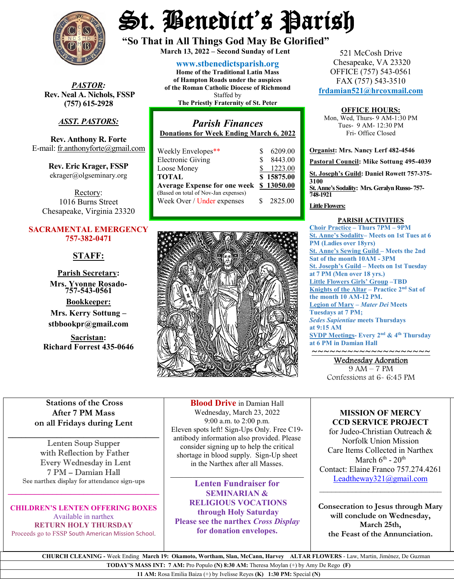

*PASTOR:* **Rev. Neal A. Nichols, FSSP (757) 615-2928** 

# *ASST. PASTORS:*

**Rev. Anthony R. Forte** E-mail[: fr.anthonyforte@gmail.com](mailto:fr.anthonyforte@gmail.com)

> **Rev. Eric Krager, FSSP** ekrager@olgseminary.org

Rectory: 1016 Burns Street Chesapeake, Virginia 23320

### **SACRAMENTAL EMERGENCY 757-382-0471**

# **STAFF:**

**Parish Secretary: Mrs. Yvonne Rosado- 757-543-0561**

**Bookkeeper: Mrs. Kerry Sottung – stbbookpr@gmail.com**

**Sacristan: Richard Forrest 435-0646**

# St. Benedict's Parish

**"So That in All Things God May Be Glorified" March 13, <sup>2022</sup> – Second Sunday of Lent**

**[www.stbenedictsparish.org](http://www.stbenedictsparish.org/) Home of the Traditional Latin Mass of Hampton Roads under the auspices of the Roman Catholic Diocese of Richmond** Staffed by **The Priestly Fraternity of St. Peter**

*Parish Finances* **Donations for Week Ending March 6, 2022** Weekly Envelopes\*\*  $$ 6209.00$ <br>Electronic Giving  $$ 8443.00$ Electronic Giving

| LIUULUILUU UIVIIIL                      |    | $0 + 1.00$ |
|-----------------------------------------|----|------------|
| Loose Money                             |    | \$1223.00  |
| TOTAL                                   |    | \$15875.00 |
| Average Expense for one week \$13050.00 |    |            |
| (Based on total of Nov-Jan expenses)    |    |            |
| Week Over / Under expenses              | S. | 2825.00    |
|                                         |    |            |



521 McCosh Drive Chesapeake, VA 23320 OFFICE (757) 543-0561 FAX (757) 543-3510 **[frdamian521@hrcoxmail.com](mailto:frdamian521@hrcoxmail.com)**

#### **OFFICE HOURS:**

Mon, Wed, Thurs- 9 AM-1:30 PM Tues- 9 AM- 12:30 PM Fri- Office Closed

**Organist: Mrs. Nancy Lerf 482-4546 Pastoral Council: Mike Sottung 495-4039 St. Joseph's Guild: Daniel Rowett 757-375- 3100 St. Anne's Sodality: Mrs. Geralyn Russo-757- 748-1921**

**Little Flowers:**

#### **PARISH ACTIVITIES**

**Choir Practice – Thurs 7PM – 9PM St. Anne's Sodality– Meets on 1st Tues at 6 PM (Ladies over 18yrs) St. Anne's Sewing Guild – Meets the 2nd Sat of the month 10AM - 3PM St. Joseph's Guild – Meets on 1st Tuesday at 7 PM (Men over 18 yrs.) Little Flowers Girls' Group –TBD Knights of the Altar – Practice 2nd Sat of the month 10 AM-12 PM. Legion of Mary –** *Mater Dei* **Meets Tuesdays at 7 PM;**  *Sedes Sapientiae* **meets Thursdays at 9:15 AM SVDP Meetings- Every 2nd & 4th Thursday at 6 PM in Damian Hall**

~~~~~~~~~~~~~~~~~~~~ Wednesday Adoration

9 AM – 7 PM Confessions at 6- 6:45 PM

## **Stations of the Cross After 7 PM Mass on all Fridays during Lent**

\_\_\_\_\_\_\_\_\_\_\_\_\_\_\_\_\_\_\_\_\_\_\_\_\_\_\_\_\_\_\_\_\_\_ Lenten Soup Supper with Reflection by Father Every Wednesday in Lent 7 PM – Damian Hall See narthex display for attendance sign-ups

**\_\_\_\_\_\_\_\_\_\_\_\_\_\_\_\_\_\_\_\_\_\_\_\_\_\_\_\_\_\_\_\_\_\_**

**CHILDREN'S LENTEN OFFERING BOXES**  Available in narthex **RETURN HOLY THURSDAY**  Proceeds go to FSSP South American Mission School.

**Blood Drive** in Damian Hall Wednesday, March 23, 2022 9:00 a.m. to 2:00 p.m. Eleven spots left! Sign-Ups Only. Free C19 antibody information also provided. Please consider signing up to help the critical shortage in blood supply. Sign-Up sheet in the Narthex after all Masses.

**Lenten Fundraiser for SEMINARIAN & RELIGIOUS VOCATIONS through Holy Saturday Please see the narthex** *Cross Display* **for donation envelopes.**

 $\overline{\phantom{a}}$ 

#### **MISSION OF MERCY CCD SERVICE PROJECT**

for Judeo-Christian Outreach & Norfolk Union Mission Care Items Collected in Narthex March  $6^{\text{th}}$  -  $20^{\text{th}}$ Contact: Elaine Franco 757.274.4261 [Leadtheway321@gmail.com](mailto:Leadtheway321@gmail.com)

**Consecration to Jesus through Mary will conclude on Wednesday, March 25th, the Feast of the Annunciation.**

 $\overline{\phantom{a}}$  , where  $\overline{\phantom{a}}$  , where  $\overline{\phantom{a}}$  ,  $\overline{\phantom{a}}$  ,  $\overline{\phantom{a}}$  ,  $\overline{\phantom{a}}$  ,  $\overline{\phantom{a}}$  ,  $\overline{\phantom{a}}$  ,  $\overline{\phantom{a}}$  ,  $\overline{\phantom{a}}$  ,  $\overline{\phantom{a}}$  ,  $\overline{\phantom{a}}$  ,  $\overline{\phantom{a}}$  ,  $\overline{\phantom{a}}$  ,  $\overline{\phantom{a}}$  ,

 **CHURCH CLEANING -** Week Ending **March 19: Okamoto, Wortham, Slan, McCann, Harvey ALTAR FLOWERS** - Law, Martin, Jiménez, De Guzman

**TODAY'S MASS INT: 7 AM:** Pro Populo **(N) 8:30 AM:** Theresa Moylan (+) by Amy De Rego **(F)**

**11 AM:** Rosa Emilia Baiza (+) by Ivelisse Reyes **(K) 1:30 PM:** Special **(N)**